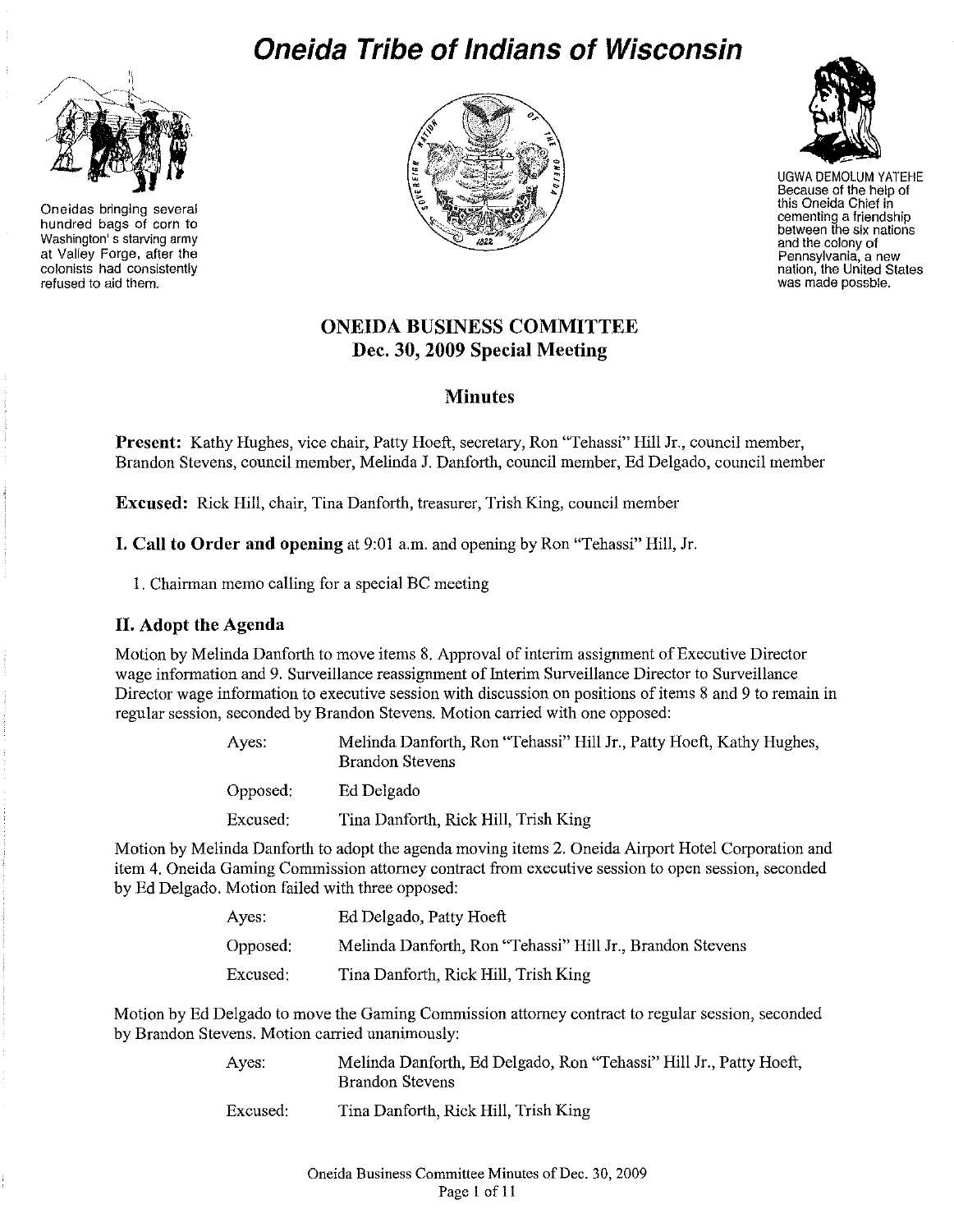# **Oneida Tribe of Indians of Wisconsin**



**Oneidas bringing several** hundred bags of corn to **Washington' s starving army** at Valley Forge, after the **colonists had consistently refused to aid them.**





UGWA DEMOLUM YATEHE Because of the help of this Oneida Chief in **cementing a friendship between thesixnations andthe colony of Pennsylvania, a new** nation,**the UnitedStates was made possble.**

# **ONEIDA BUSINESS COMMITTEE Dec. 30, 2009 Special Meeting**

# **Minutes**

**Present:** Kathy Hughes, vice chair, Patty Hoeft, secretary, Ron "Tehassi" Hill Jr., council member, Brandon Stevens, council member, Melinda J. Danforth, couucil member, Ed Delgado, council member

**Excused:** Rick Hill, chair, Tina Danforth, treasurer, Trish King, council member

**I. Call to Order and opening** at 9:01 a.m. and opening by Ron "Tehassi" Hill, Jr.

1. Chairman memo calling for a special BC meeting

# **II. Adopt the Agenda**

Motion by Melinda Danforth to move items 8. Approval of interim assignment of Executive Director wage information and 9. Surveillance reassignment of Interim Surveillance Director to Surveillance Director wage information to executive session with discussion on positions of items 8 and 9 to remain in regular session, seconded by Brandon Stevens, Motion carried with one opposed:

| Aves:    | Melinda Danforth, Ron "Tehassi" Hill Jr., Patty Hoeft, Kathy Hughes,<br><b>Brandon Stevens</b> |
|----------|------------------------------------------------------------------------------------------------|
| Opposed: | Ed Delgado                                                                                     |
| Excused: | Tina Danforth, Rick Hill, Trish King                                                           |

Motion by Melinda Danforth to adopt the agenda moving items 2. Oneida Airport Hotel Corporation and item 4. Oneida Gaming Commission attorney contract from executive session to open session, seconded by Ed Delgado. Motion failed with three opposed:

| Ayes:    | Ed Delgado, Patty Hoeft                                   |
|----------|-----------------------------------------------------------|
| Opposed: | Melinda Danforth, Ron "Tehassi" Hill Jr., Brandon Stevens |
| Excused: | Tina Danforth, Rick Hill, Trish King                      |

Motion by Ed Delgado to move the Gaming Commission attorney contract to regular session, seconded by Brandon Stevens. Motion carried unanimously:

| Ayes.    | Melinda Danforth, Ed Delgado, Ron "Tehassi" Hill Jr., Patty Hoeft,<br><b>Brandon Stevens</b> |
|----------|----------------------------------------------------------------------------------------------|
| Excused: | Tina Danforth, Rick Hill, Trish King                                                         |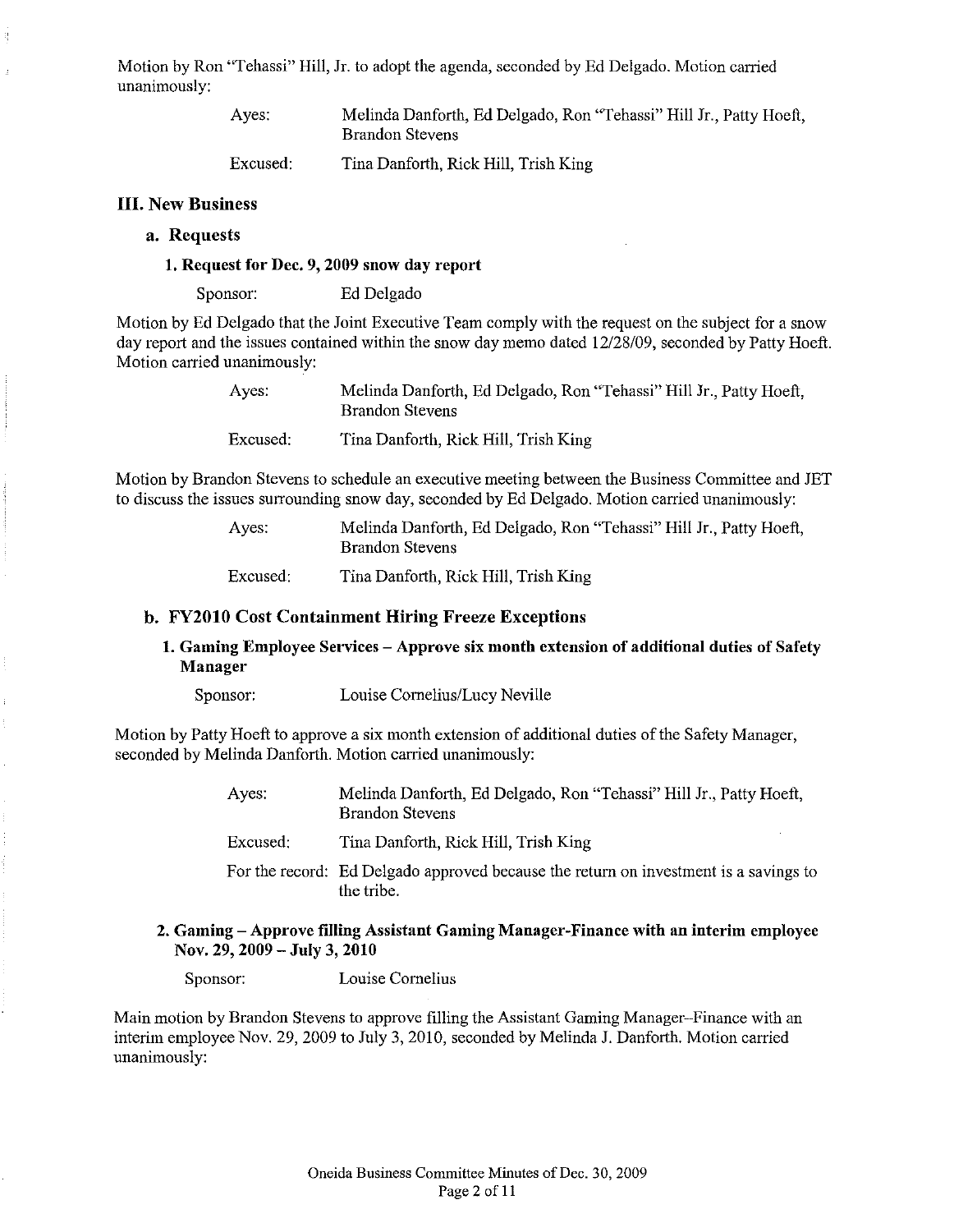Motion by Ron "Tehassi" Hill, Jr. to adopt the agenda, seconded by Ed Delgado. Motion carried unanimously:

> Ayes: Melinda Danforth, Ed Delgado, Ron "Tehassi" Hill Jr., Patty Hoeft, Brandon Stevens

Excused: Tina Danforth, Rick Hill, Trish King

## III. New Business

ą

### a. Requests

## 1. Request for Dec. 9, 2009 snow day report

Sponsor: Ed Delgado

Motion by Ed Delgado that the Joint Executive Team comply with the request on the subject for a snow day report and the issues contained within the snow day memo dated 12/28/09, seconded by Patty Hoeft. Motion carried unanimously:

| Ayes:    | Melinda Danforth, Ed Delgado, Ron "Tehassi" Hill Jr., Patty Hoeft,<br><b>Brandon Stevens</b> |
|----------|----------------------------------------------------------------------------------------------|
| Excused: | Tina Danforth, Rick Hill, Trish King                                                         |

Motion by Brandon Stevens to schedule an executive meeting between the Business Committee and JET to discuss the issues surrounding snow day, seconded by Ed Delgado. Motion carried unanimously:

> Ayes: Melinda Danforth, Ed Delgado, Ron "Tehassi" Hill Jr., Patty Hoeft, Brandon Stevens

Excused: Tina Danforth, Rick Hill, Trish King

#### b. FY2010 Cost Containment Hiring Freeze Exceptions

## 1. Gaming Employee Services – Approve six month extension of additional duties of Safety Manager

Sponsor: Louise Cornelius/Lucy Neville

Motion by Patty Hoeft to approve a six month extension of additional duties of the Safety Manager, seconded by Melinda Danforth. Motion carried unanimously:

> Ayes: Melinda Danforth, Ed Delgado, Ron "Tehassi" Hill Jr., Patty Hoeft, Brandon Stevens

Excused: Tina Danforth, Rick Hill, Trish King

For the record: Ed Delgado approved because the return on investment is a savings to the tribe.

#### 2. Gaming - Approve filling Assistant Gaming Manager-Finance with an interim employee Nov. 29, 2009 - July 3, 2010

Sponsor: Louise Cornelius

Main motion by Brandon Stevens to approve filling the Assistant Gaming Manager-Finance with an interim employee Nov. 29, 2009 to July 3, 2010, seconded by Melinda J. Danforth. Motion carried unanimously: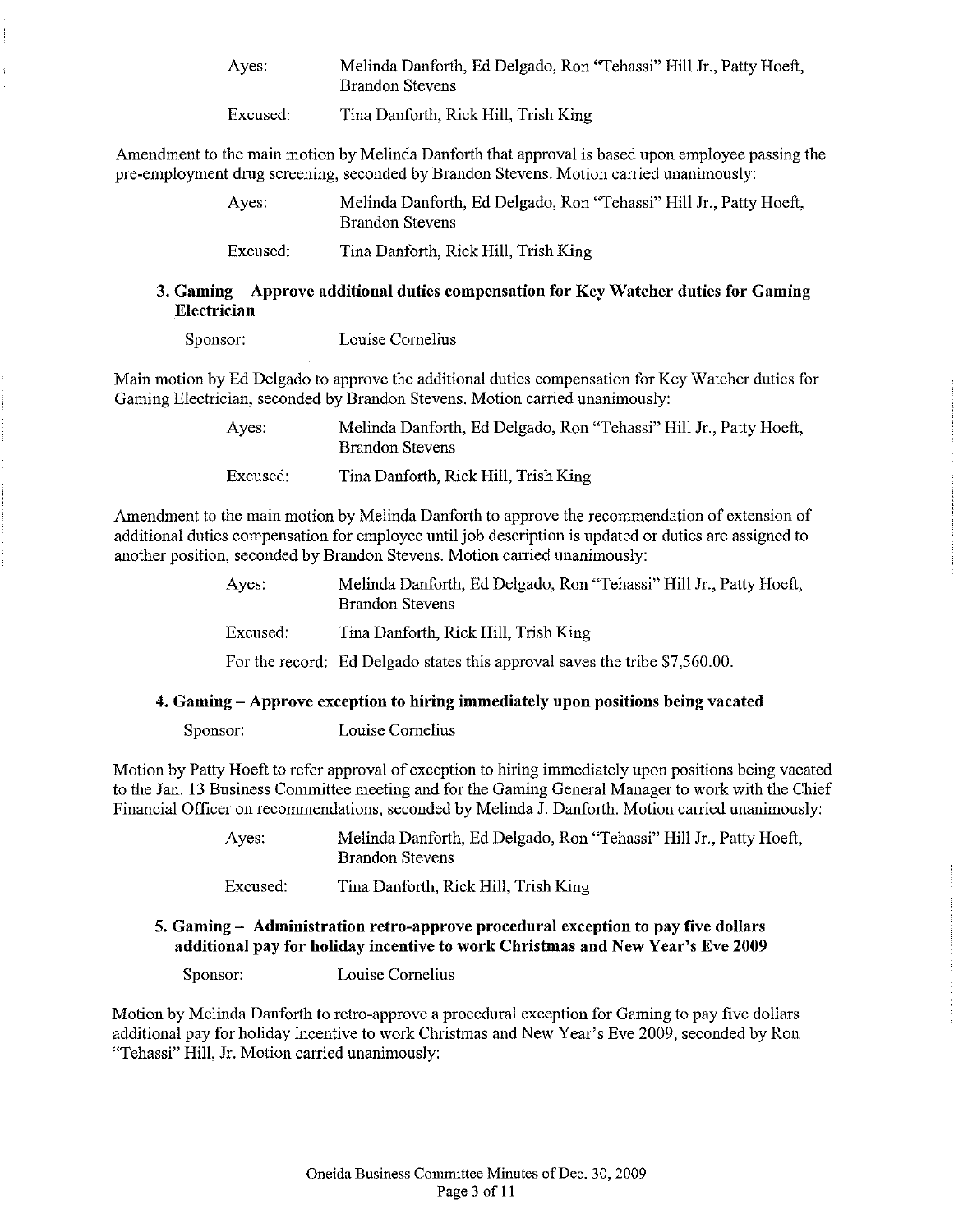| Ayes: | Melinda Danforth, Ed Delgado, Ron "Tehassi" Hill Jr., Patty Hoeft, |  |
|-------|--------------------------------------------------------------------|--|
|       | <b>Brandon Stevens</b>                                             |  |

Excused: Tina Danforth, Rick Hill, Trish King

Amendment to the main motion by Melinda Danforth that approval is based upon employee passing the pre-employment drug screening, seconded by Brandon Stevens. Motion carried unanimously:

| Aves:    | Melinda Danforth, Ed Delgado, Ron "Tehassi" Hill Jr., Patty Hoeft,<br><b>Brandon Stevens</b> |
|----------|----------------------------------------------------------------------------------------------|
| Excused: | Tina Danforth, Rick Hill, Trish King                                                         |

## 3. Gaming - Approve additional duties compensation for Key Watcher duties for Gaming **Electrician**

Sponsor: Louise Cornelius

Main motion by Ed Delgado to approve the additional duties compensation for Key Watcher duties for Gaming Electrician, seconded by Brandon Stevens. Motion carried unanimously:

> Ayes: Excused: Melinda Danforth, Ed Delgado, Ron "Tehassi" Hill Jr., Patty Hoeft, Brandon Stevens Tina Danforth, Rick Hill, Trish King

Amendment to the main motion by Melinda Danforth to approve the recommendation of extension of additional duties compensation for employee until job description is updated or duties are assigned to another position, seconded by Brandon Stevens. Motion carried unanimously:

| Ayes:    | Melinda Danforth, Ed Delgado, Ron "Tehassi" Hill Jr., Patty Hoeft,<br><b>Brandon Stevens</b> |
|----------|----------------------------------------------------------------------------------------------|
| Excused: | Tina Danforth, Rick Hill, Trish King                                                         |
|          | For the record: Ed Delgado states this approval saves the tribe \$7,560.00.                  |

## 4. Gaming - Approve exception to hiring immediately upon positions being vacated

Sponsor: Louise Cornelius

Motion by Patty Hoeft to refer approval of exception to hiring immediately upon positions being vacated to the Jan. 13 Business Committee meeting and for the Gaming General Manager to work with the Chief Financial Officer on recommendations, seconded by Melinda J. Danforth. Motion carried unanimously:

> Ayes: Melinda Danforth, Ed Delgado, Ron "Tehassi" Hill Jr., Patty Hoeft, Brandon Stevens

Excused: Tina Danforth, Rick Hill, Trish King

## 5. Gaming - Administration retro-approve procedural exception to pay five dollars additional pay for holiday incentive to work Christmas and New Year's Eve 2009

Sponsor: Louise Cornelius

Motion by Melinda Danforth to retro-approve a procedural exception for Gaming to pay five dollars additional pay for holiday incentive to work Christmas and New Year's Eve 2009, seconded by Ron "Tehassi" Hill, Jr. Motion carried unanimously: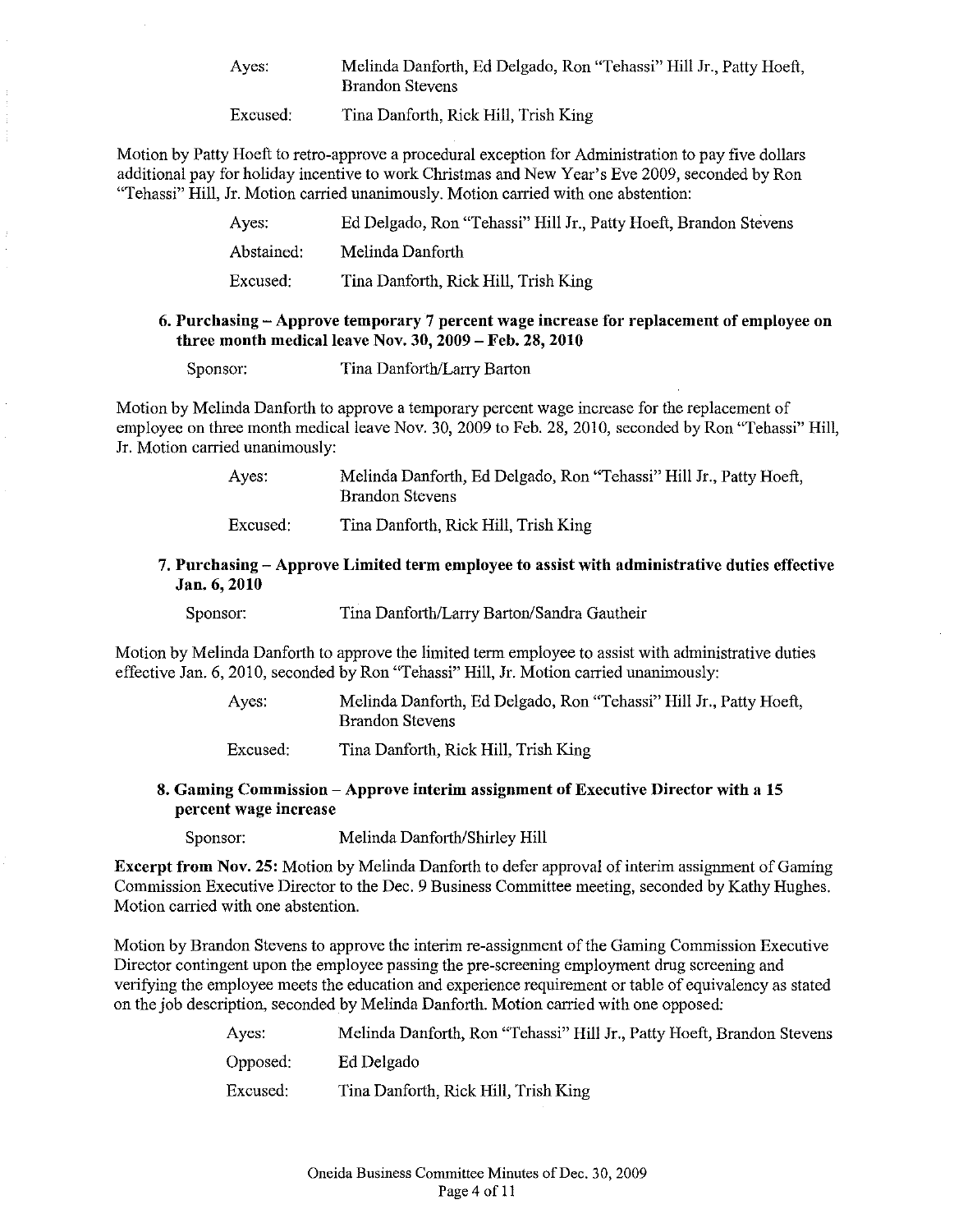Ayes: Melinda Danforth, Ed Delgado, Ron "Tehassi" Hill Jr., Patty Hoeft, Brandon Stevens

Excused: Tina Danforth, Rick Hill, Trish King

Motion by Patty Hoeft to retro-approve a procedural exception for Administration to pay five dollars additional pay for holiday incentive to work Christmas and New Year's Eve 2009, seconded by Ron "Tehassi" Hill, Jr. Motion carried unanimously. Motion carried with one abstention:

| Ayes:      | Ed Delgado, Ron "Tehassi" Hill Jr., Patty Hoeft, Brandon Stevens |
|------------|------------------------------------------------------------------|
| Abstained: | Melinda Danforth                                                 |
| Excused:   | Tina Danforth, Rick Hill, Trish King                             |

### 6. Purchasing - Approve temporary 7 percent wage increase for replacement of employee on three month medical leave Nov. 30, 2009 - Feb. 28, 2010

Sponsor: Tina Danforth/Larry Barton

Motion by Melinda Danforth to approve a temporary percent wage increase for the replacement of employee on three month medical leave Nov. 30, 2009 to Feb. 28, 2010, seconded by Ron "Tehassi" Hill, Jr. Motion carried unanimously:

> Ayes: Melinda Danforth, Ed Delgado, Ron "Tehassi" Hill Jr., Patty Hoeft, Brandon Stevens

Excused: Tina Danforth, Rick Hill, Trish King

## 7. Purchasing - Approve Limited term employee to assist with administrative duties effective Jan. 6,2010

Sponsor: Tina Danforth/Larry Barton/Sandra Gautheir

Motion by Melinda Danforth to approve the limited term employee to assist with administrative duties effective Jan. 6, 2010, seconded by Ron "Tehassi" Hill, Jr. Motion carried unanimously:

> Ayes: Melinda Danforth, Ed Delgado, Ron "Tehassi" Hill Jr., Patty Hoeft, Brandon Stevens

Excused: Tina Danforth, Rick Hill, Trish King

## 8. Gaming Commission - Approve interim assignment of Executive Director with a 15 percent wage increase

Sponsor: Melinda Danforth/Shirley Hill

Excerpt from Nov. 25: Motion by Melinda Danforth to defer approval of interim assignment of Gaming Commission Executive Director to the Dec. 9 Business Committee meeting, seconded by Kathy Hughes. Motion carried with one abstention.

Motion by Brandon Stevens to approve the interim re-assignment of the Gaming Commission Executive Director contingent upon the employee passing the pre-screening employment drug screening and verifying the employee meets the education and experience requirement or table of equivalency as stated on the job description, seconded by Melinda Danforth. Motion carried with one opposed:

| Ayes:    | Melinda Danforth, Ron "Tehassi" Hill Jr., Patty Hoeft, Brandon Stevens |
|----------|------------------------------------------------------------------------|
| Opposed: | Ed Delgado                                                             |
| Excused: | Tina Danforth, Rick Hill, Trish King                                   |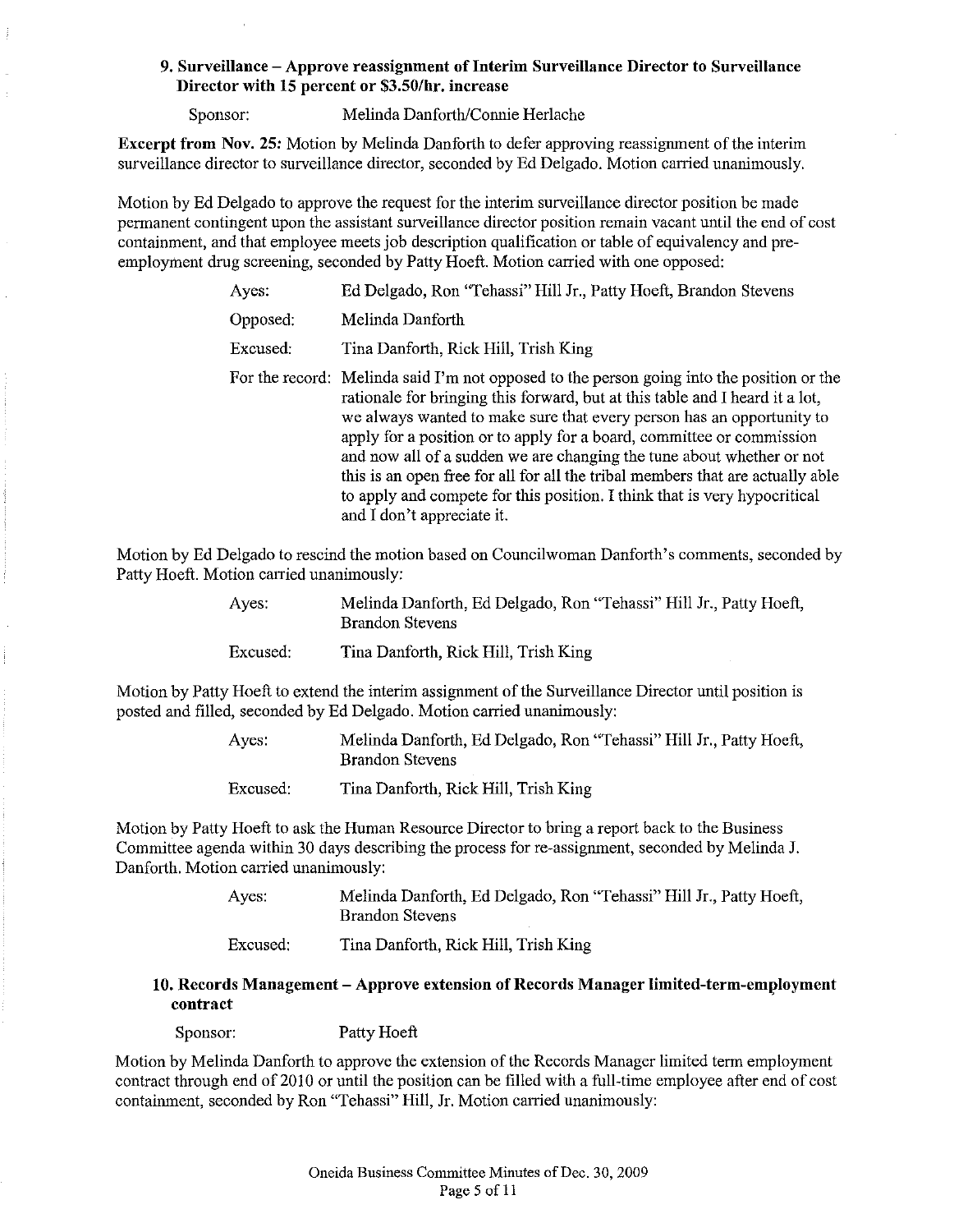## 9. **Surveillance - Approve reassignment ofInterim Surveillance Director to Surveillance Director with IS percent or** \$3.50/hr. **increase**

Sponsor: Melinda Danforth/Connie Herlache

**Excerpt from Nov. 25:** Motion by Melinda Danforth to defer approving reassignment of the interim surveillance director to surveillance director, seconded by Ed Delgado. Motion carried unanimously.

Motion by Ed Delgado to approve the request for the interim surveillance director position be made permanent contingent upon the assistant surveillance director position remain vacant until the end of cost containment, and that employee meets job description qualification or table of equivalency and preemployment drug screening, seconded by Patty Hoeft. Motion carried with one opposed:

| Ayes:    | Ed Delgado, Ron "Tehassi" Hill Jr., Patty Hoeft, Brandon Stevens                                                                                                                                                                                                                                                                                                                                                                                                                                                                                                                                  |
|----------|---------------------------------------------------------------------------------------------------------------------------------------------------------------------------------------------------------------------------------------------------------------------------------------------------------------------------------------------------------------------------------------------------------------------------------------------------------------------------------------------------------------------------------------------------------------------------------------------------|
| Opposed: | Melinda Danforth                                                                                                                                                                                                                                                                                                                                                                                                                                                                                                                                                                                  |
| Excused: | Tina Danforth, Rick Hill, Trish King                                                                                                                                                                                                                                                                                                                                                                                                                                                                                                                                                              |
|          | For the record: Melinda said I'm not opposed to the person going into the position or the<br>rationale for bringing this forward, but at this table and I heard it a lot,<br>we always wanted to make sure that every person has an opportunity to<br>apply for a position or to apply for a board, committee or commission<br>and now all of a sudden we are changing the tune about whether or not<br>this is an open free for all for all the tribal members that are actually able<br>to apply and compete for this position. I think that is very hypocritical<br>and I don't appreciate it. |

Motion by Ed Delgado to rescind the motion based on Councilwoman Danforth's comments, seconded by Patty Hoeft. Motion carried unanimously:

| Ayes:    | Melinda Danforth, Ed Delgado, Ron "Tehassi" Hill Jr., Patty Hoeft,<br>Brandon Stevens |
|----------|---------------------------------------------------------------------------------------|
| Excused: | Tina Danforth, Rick Hill, Trish King                                                  |

Motion by Patty Hoeft to extend the interim assignment of the Surveillance Director until position is posted and filled, seconded by Ed Delgado. Motion carried unanimously:

> Ayes: Melinda Danforth, Ed Delgado, Ron "Tehassi" Hill Jr., Patty Hoeft, Brandon Stevens

Excused: Tina Danforth, Rick Hill, Trish King

Motion by Patty Hoeft to ask the Human Resource Director to bring a report back to the Business Committee agenda within 30 days describing the process for re-assignment, seconded by Melinda J. Danforth. Motion carried unanimously:

> Ayes: Melinda Danforth, Ed Delgado, Ron "Tehassi" Hill Jr., Patty Hoeft, Brandon Stevens

Excused: Tina Danforth, Rick Hill, Trish King

## **10. Records Management - Approve extension** of Records Manager Ilmited-term-employment **contract**

Sponsor: Patty Hoeft

Motion by Melinda Danforth to approve the extension of the Records Manager limited term employment contract through end of 2010 or until the position can be filled with a full-time employee after end of cost contaimnent, seconded by Ron "Tehassi" Hill, Jr. Motion carried unanimously: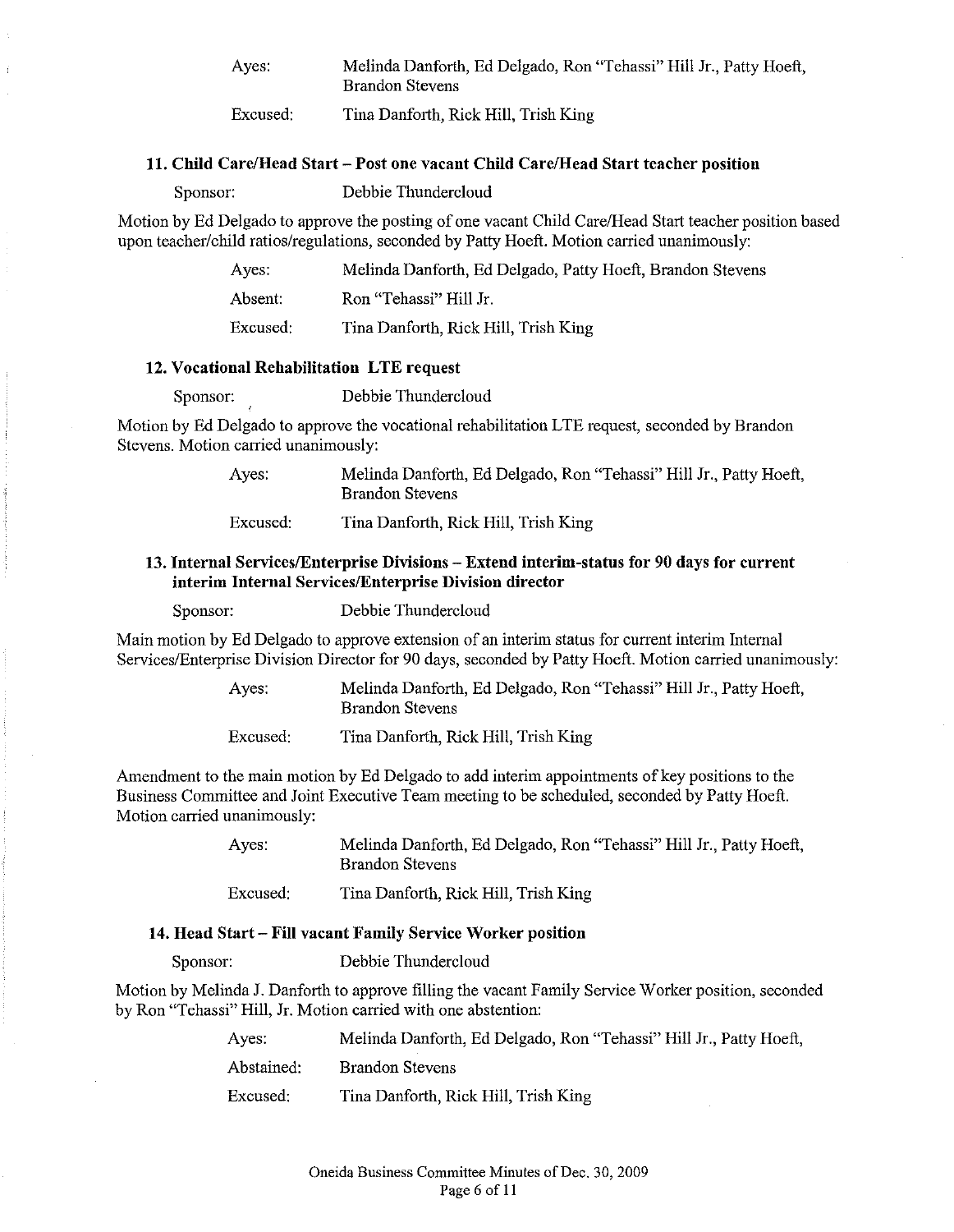| Ayes:    | Melinda Danforth, Ed Delgado, Ron "Tehassi" Hill Jr., Patty Hoeft,<br>Brandon Stevens |
|----------|---------------------------------------------------------------------------------------|
| Excused: | Tina Danforth, Rick Hill, Trish King                                                  |

#### 11. Child Care/Head Start - Post one vacant Child Care/Head Start teacher position

Sponsor: Debbie Thundercloud

Motion by Ed Delgado to approve the posting of one vacant Child Care/Head Start teacher position based upon teacher/child ratios/regulations, seconded by Patty Hoeft. Motion carried unanimously:

| Ayes.    | Melinda Danforth, Ed Delgado, Patty Hoeft, Brandon Stevens |
|----------|------------------------------------------------------------|
| Absent.  | Ron "Tehassi" Hill Jr.                                     |
| Excused: | Tina Danforth, Rick Hill, Trish King                       |

#### 12. Vocational Rehabilitation LTE request

Sponsor: Debbie Thundercloud

Motion by Ed Delgado to approve the vocational rehabilitation LTE request, seconded by Brandon Stevens. Motion carried unanimously:

> Ayes: Melinda Danforth, Ed Delgado, Ron "Tehassi" Hill Jr., Patty Hoeft, Brandon Stevens

Excused: Tina Danforth, Rick Hill, Trish King

#### 13. Iuternal Services/Enterprlse Divisions - Extend iuterim-status for 90 days for curreut interim Internal Services/Enterprise Division director

Sponsor: Debbie Thundercloud

Main motion by Ed Delgado to approve extension of an interim status for current interim Internal Services/Enterprise Division Director for 90 days, seconded by Patty Hoeft. Motion carried unanimously:

> Ayes: Melinda Danforth, Ed Delgado, Ron "Tehassi" Hill Jr., Patty Hoeft, Brandon Stevens

Excused: Tina Danforth, Rick Hill, Trish King

Amendment to the main motion by Ed Delgado to add interim appointments of key positions to the Business Committee and Joint Executive Team meeting to be scheduled, seconded by Patty Hoeft. Motion carried unanimously:

> Ayes: Melinda Danforth, Ed Delgado, Ron "Tehassi" Hill Jr., Patty Hoeft, Brandon Stevens

Excused: Tina Danforth, Rick Hill, Trish King

#### 14. Head Start - Fill vacant Family Service Worker position

Sponsor: Debbie Thundercloud

Motion by Melinda J. Danforth to approve filling the vacant Family Service Worker position, seconded by Ron "Tehassi" Hill, Jr. Motion carried with one abstention:

| Ayes.      | Melinda Danforth, Ed Delgado, Ron "Tehassi" Hill Jr., Patty Hoeft, |
|------------|--------------------------------------------------------------------|
| Abstained: | Brandon Stevens                                                    |
| Excused:   | Tina Danforth, Rick Hill, Trish King                               |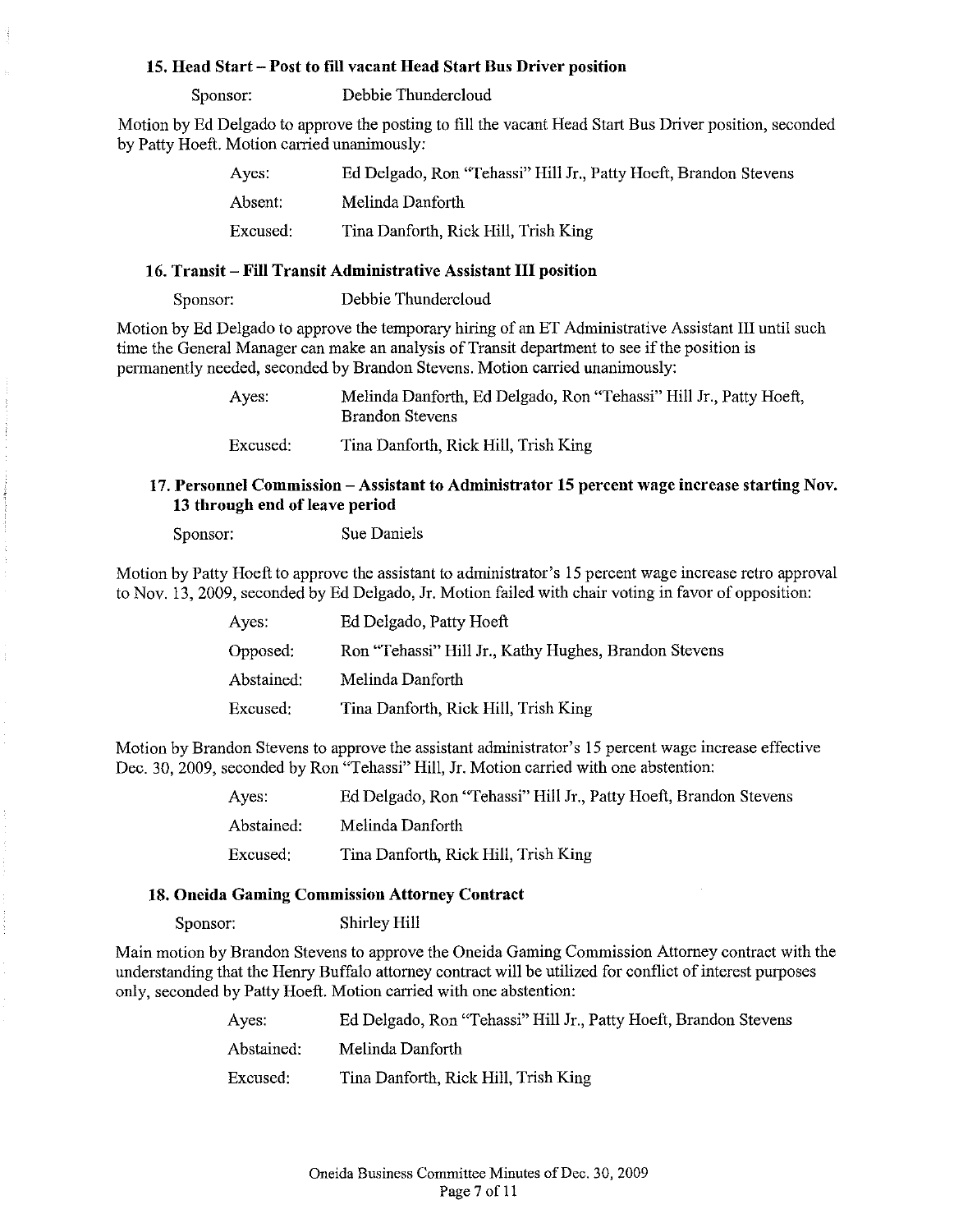#### 15. Head Start - Post to fill vacant Head Start Bus Driver position

Sponsor: Debbie Thundercloud

Motion by Ed Delgado to approve the posting to fill the vacant Head Start Bus Driver position, seconded by Patty Hoeft. Motion carried unanimously:

| Aves.    | Ed Delgado, Ron "Tehassi" Hill Jr., Patty Hoeft, Brandon Stevens |
|----------|------------------------------------------------------------------|
| Absent.  | Melinda Danforth                                                 |
| Excused: | Tina Danforth, Rick Hill, Trish King                             |

### 16. Transit - Fill Transit Administrative Assistant **III** position

Sponsor: Debbie Thundercloud

Motion by Ed Delgado to approve the temporary hiring of an ET Administrative Assistant III until such time the General Manager can make an analysis of Transit department to see if the position is permanently needed, seconded by Brandon Stevens. Motion carried unanimously:

> Ayes: Melinda Danforth, Ed Delgado, Ron "Tehassi" Hill Jr., Patty Hoeft, Brandon Stevens

Excused: Tina Danforth, Rick Hill, Trish King

## 17. Personnel Commission - Assistant to Administrator 15 percent wage increase starting Nov. 13 through end of leave period

Sponsor: Sue Daniels

Motion by Patty Hoeft to approve the assistant to administrator's 15 percent wage increase retro approval to Nov. 13,2009, seconded by Ed Delgado, Jr. Motion failed with chair voting in favor of opposition:

| Ayes:      | Ed Delgado, Patty Hoeft                               |
|------------|-------------------------------------------------------|
| Opposed:   | Ron "Tehassi" Hill Jr., Kathy Hughes, Brandon Stevens |
| Abstained: | Melinda Danforth                                      |
| Excused:   | Tina Danforth, Rick Hill, Trish King                  |

Motion by Brandon Stevens to approve the assistant administrator's 15 percent wage increase effective Dec. 30, 2009, seconded by Ron "Tehassi" Hill, Jr. Motion carried with one abstention:

| Ayes:      | Ed Delgado, Ron "Tehassi" Hill Jr., Patty Hoeft, Brandon Stevens |
|------------|------------------------------------------------------------------|
| Abstained: | Melinda Danforth                                                 |
| Excused:   | Tina Danforth, Rick Hill, Trish King                             |

#### 18. Oneida Gaming Commission Attorney Contract

Sponsor: Shirley Hill

Main motion by Brandon Stevens to approve the Oneida Gaming Commission Attorney contract with the understanding that the Henry Buffalo attorney contract will be utilized for conflict of interest purposes only, seconded by Patty Hoeft. Motion carried with one abstention:

| Aves:      | Ed Delgado, Ron "Tehassi" Hill Jr., Patty Hoeft, Brandon Stevens |
|------------|------------------------------------------------------------------|
| Abstained: | Melinda Danforth                                                 |
| Excused:   | Tina Danforth, Rick Hill, Trish King                             |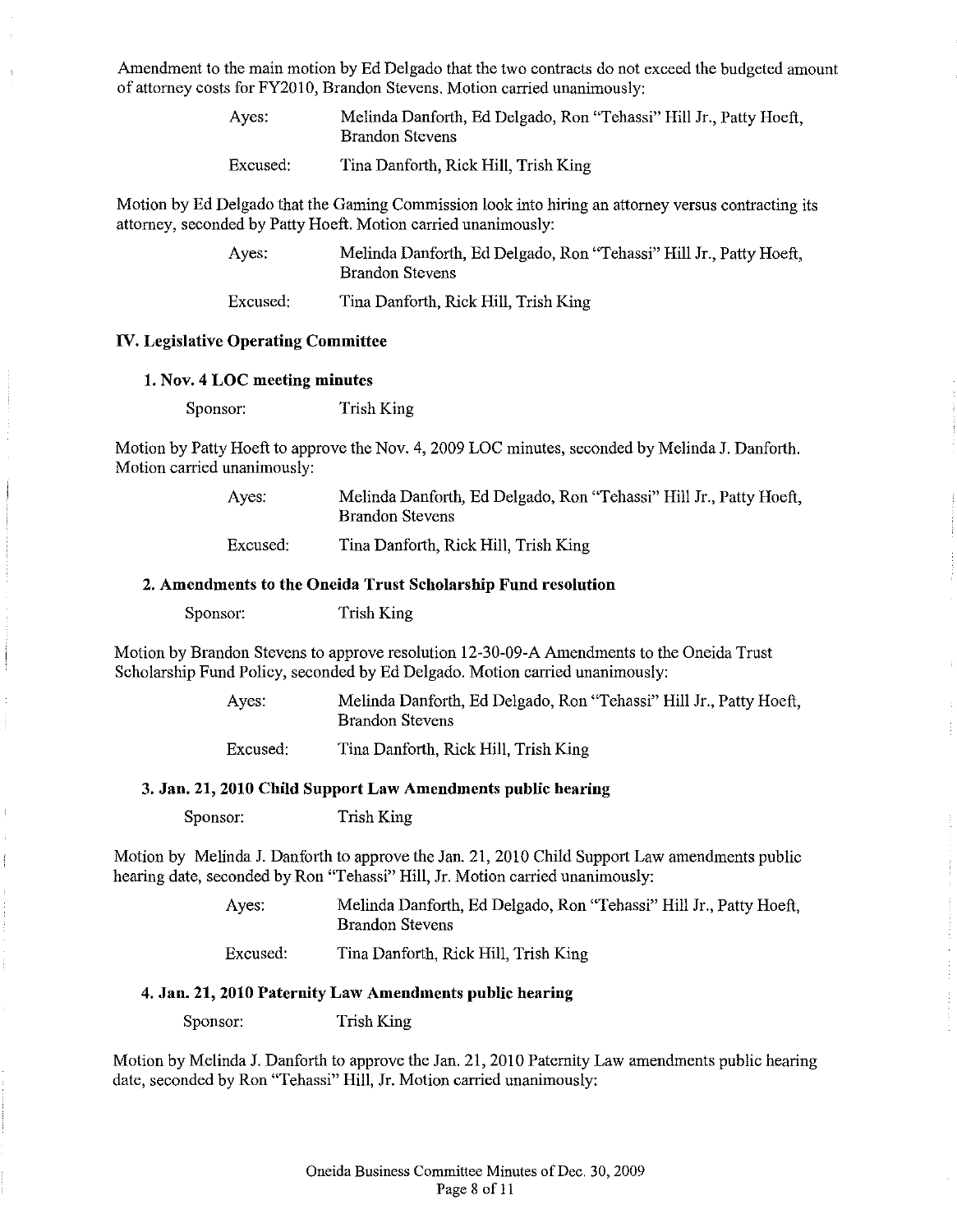Amendment to the main motion by Ed Delgado that the two contracts do not exceed the budgeted amount of attorney costs for FY201O, Brandon Stevens. Motion carried unanimously:

| Ayes:    | Melinda Danforth, Ed Delgado, Ron "Tehassi" Hill Jr., Patty Hoeft,<br><b>Brandon Stevens</b> |
|----------|----------------------------------------------------------------------------------------------|
| Excused: | Tina Danforth, Rick Hill, Trish King                                                         |

Motion by Ed Delgado that the Gaming Commission look into hiring an attorney versus contracting its attorney, seconded by Patty Hoeft. Motion carried unanimously:

| Ayes.    | Melinda Danforth, Ed Delgado, Ron "Tehassi" Hill Jr., Patty Hoeft,<br><b>Brandon Stevens</b> |
|----------|----------------------------------------------------------------------------------------------|
| Excused: | Tina Danforth, Rick Hill, Trish King                                                         |

#### IV. Legislative Operating Committee

#### 1. Nov. 4 LOC meeting minutes

Sponsor: Trish King

Motion by Patty Hoeft to approve the Nov. 4, 2009 LOC minutes, seconded by Melinda J. Danforth. Motion carried unanimously:

| Ayes.    | Melinda Danforth, Ed Delgado, Ron "Tehassi" Hill Jr., Patty Hoeft,<br>Brandon Stevens |
|----------|---------------------------------------------------------------------------------------|
| Excused: | Tina Danforth, Rick Hill, Trish King                                                  |

#### 2. Amendments to the Oneida Trust Scholarship Fund resolution

Sponsor: Trish King

Motion by Brandon Stevens to approve resolution 12-30-09-A Amendments to the Oneida Trust Scholarship Fund Policy, seconded by Ed Delgado. Motion carried unanimously:

> Ayes: Melinda Danforth, Ed Delgado, Ron "Tehassi" Hill Jr., Patty Hoeft, Brandon Stevens Excused: Tina Danforth, Rick Hill, Trish King

#### 3. Jan. 21, 2010 Child Support Law Amendments public hearing

Sponsor: Trish King

Motion by Melinda J. Danforth to approve the Jan. 21, 2010 Child Support Law amendments public hearing date, seconded by Ron "Tehassi" Hill, Jr. Motion carried unanimously:

> Ayes: Melinda Danforth, Ed Delgado, Ron "Tehassi" Hill Jr., Patty Hoeft, Brandon Stevens

Excused: Tina Danforth, Rick Hill, Trish King

# 4. Jan. 21, 2010 Paternity Law Amendments public hearing

Sponsor: Trish King

Motion by Melinda J. Danforth to approve the Jan. 21,2010 Paternity Law amendments public hearing date, seconded by Ron "Tehassi" Hill, Jr. Motion carried unanimously: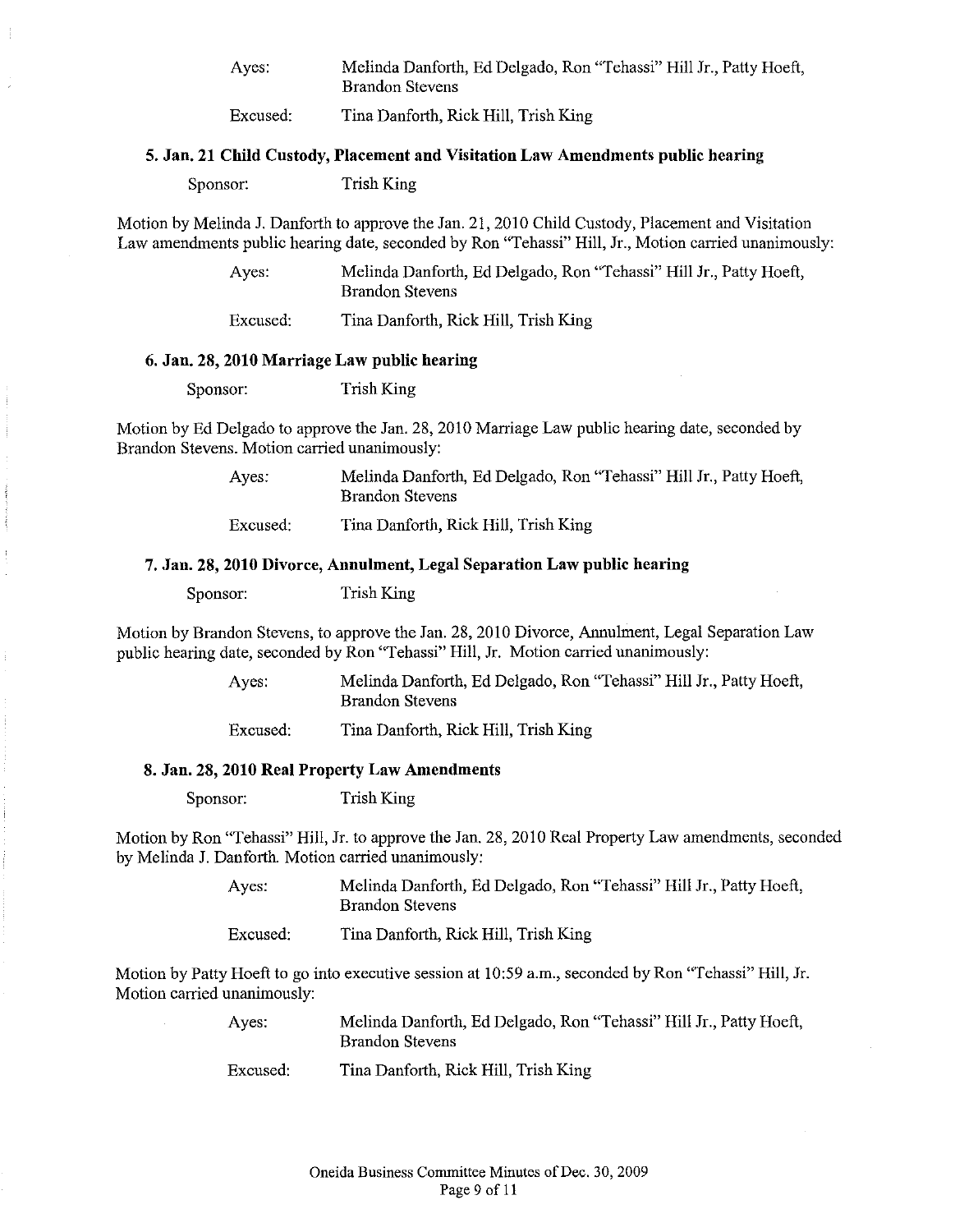Ayes: Melinda Danforth, Ed Delgado, Ron "Tehassi" Hill Jr., Patty Hoeft, Brandon Stevens

Excused: Tina Danforth, Rick Hill, Trish King

#### 5. Jan. 21 Child Custody, Placement and Visitation Law Amendments public heariug

Sponsor: Trish King

Motion by Melinda J. Danforth to approve the Jan. 21, 2010 Child Custody, Placement and Visitation Law amendments public hearing date, seconded by Ron "Tehassi" Hill, Jr., Motion carried unanimously:

> Ayes: Melinda Danforth, Ed Delgado, Ron "Tehassi" Hill Jr., Patty Hoeft, Brandon Stevens

Excused: Tina Danforth, Rick Hill, Trish King

#### 6. Jan, 28, 2010 Marriage Law public bearing

Sponsor: Trish King

Motion by Ed Delgado to approve the Jan. 28, 2010 Marriage Law public hearing date, seconded by Brandon Stevens. Motion carried unanimously:

> Ayes: Melinda Danforth, Ed Delgado, Ron "Tehassi" Hill Jr., Patty Hoeft, Brandon Stevens

Excused: Tina Danforth, Rick Hill, Trish King

#### 7. Jan. 28, 2010 Divorce, Annulment, Legal Separation Law public bearing

Sponsor: Trish King

Motion by Brandon Stevens, to approve the Jan. 28, 2010 Divorce, Annulment, Legal Separation Law public hearing date, seconded by Ron "Tehassi" Hill, Jr. Motion carried unanimously:

> Ayes: Melinda Danforth, Ed Delgado, Ron "Tehassi" Hill Jr., Patty Hoeft, Brandon Stevens

Excused: Tina Danforth, Rick Hill, Trish King

#### 8. Jan. 28, 2010 Real Property Law Amendments

Sponsor: Trish King

Motion by Ron "Tehassi" Hill, Jr. to approve the Jan. 28, 2010 Real Property Law amendments, seconded by Melinda J. Danforth. Motion carried unanimously;

> Ayes: Melinda Danforth, Ed Delgado, Ron "Tehassi" Hill Jr., Patty Hoeft, Brandon Stevens

Excused: Tina Danforth, Rick Hill, Trish King

Motion by Patty Hoeft to go into executive session at 10:59 a.m., seconded by Ron "Tehassi" Hill, Jr. Motion carried unanimously:

| Ayes. | Melinda Danforth, Ed Delgado, Ron "Tehassi" Hill Jr., Patty Hoeft, |  |
|-------|--------------------------------------------------------------------|--|
|       | Brandon Stevens                                                    |  |
|       |                                                                    |  |

Excused: Tina Danforth, Rick Hill, Trish King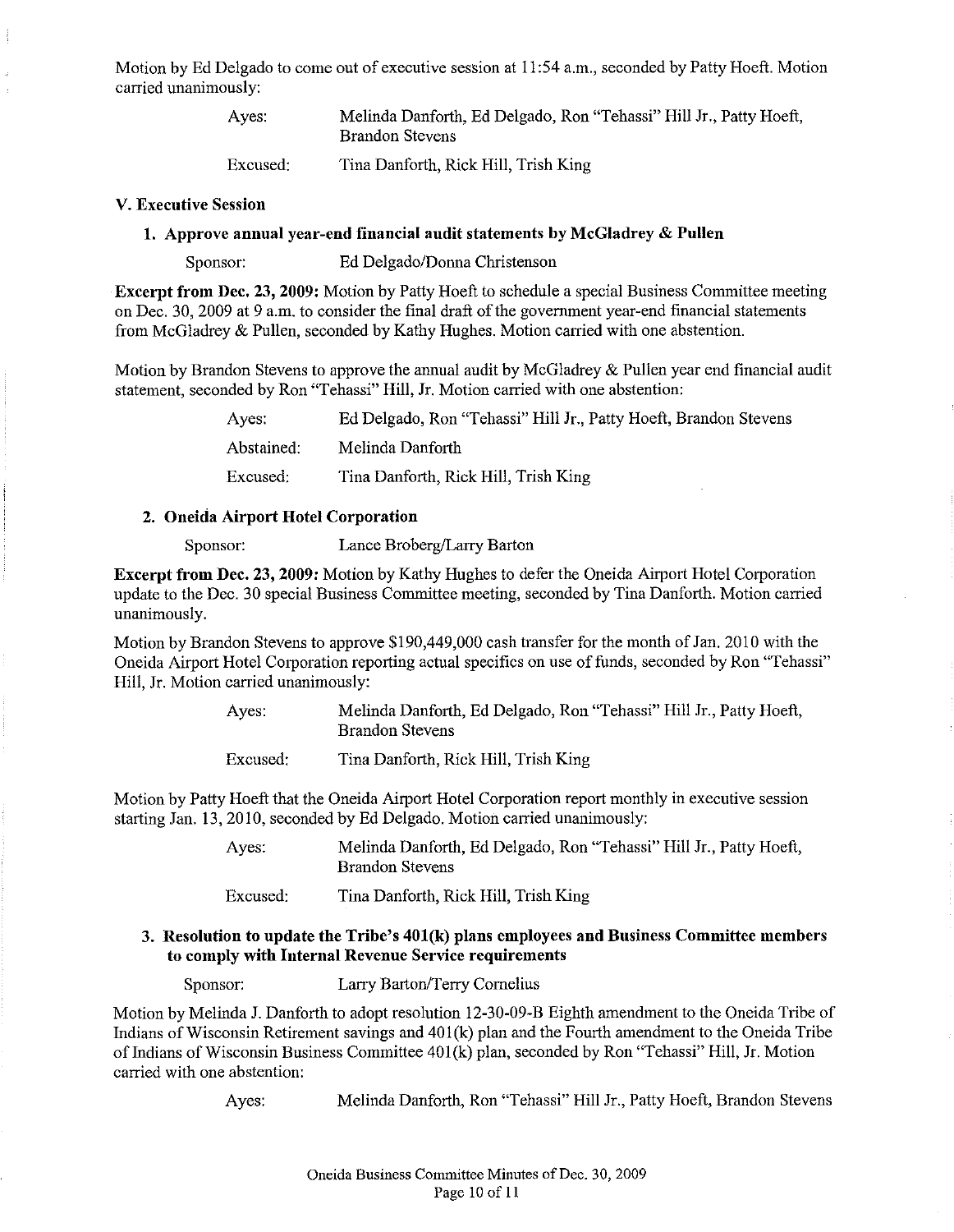Motion by Ed Delgado to come out of executive session at 11:54 a.m., seconded by Patty Hoeft. Motion carried unanimously:

| Ayes.    | Melinda Danforth, Ed Delgado, Ron "Tehassi" Hill Jr., Patty Hoeft,<br><b>Brandon Stevens</b> |
|----------|----------------------------------------------------------------------------------------------|
| Excused: | Tina Danforth, Rick Hill, Trish King                                                         |

#### V. Executive Session

## 1. Approve anuual year-end financial audit statements by McGladrey & Pullen

Sponsor: Ed Delgado/Donna Christenson

Excerpt from Dec. 23, 2009: Motion by Patty Hoeft to schedule a special Business Connnittee meeting on Dec. 30, 2009 at 9 a.m. to consider the final draft ofthe government year-end financial statements from McGladrey & Pullen, seconded by Kathy Hughes. Motion carried with one abstention.

Motion by Brandon Stevens to approve the annual audit by McGladrey & Pullen year end financial audit statement, seconded by Ron "Tehassi" Hill, Jr. Motion carried with one abstention:

> Ayes: Abstained: Excused: Ed Delgado, Ron "Tehassi" Hill Jr., Patty Hoeft, Brandon Stevens Melinda Danforth Tina Danforth, Rick Hill, Trish King

#### 2. Oneida Airport Hotel Corporation

Sponsor: Lance Broberg/Larry Barton

Excerpt from Dec. 23, 2009: Motion by Kathy Hughes to defer the Oneida Airport Hotel Corporation update to the Dec. 30 special Business Committee meeting, seconded by Tina Danforth. Motion carried unanimously.

Motion by Brandon Stevens to approve \$190,449,000 cash transfer for the month of Jan. 2010 with the Oneida Airport Hotel Corporation reporting actual specifics on use of funds, seconded by Ron "Tehassi" Hill, Jr. Motion carried unanimously:

| Ayes:    | Melinda Danforth, Ed Delgado, Ron "Tehassi" Hill Jr., Patty Hoeft,<br><b>Brandon Stevens</b> |
|----------|----------------------------------------------------------------------------------------------|
| Excused: | Tina Danforth, Rick Hill, Trish King                                                         |

Motion by Patty Hoeft that the Oneida Airport Hotel Corporation report monthly in executive session starting Jan. 13,2010, seconded by Ed Delgado. Motion carried unanimously:

> Ayes: Melinda Danforth, Ed Delgado, Ron "Tehassi" Hill Jr., Patty Hoeft, Brandon Stevens

Excused: Tina Danforth, Rick Hill, Trish King

## 3. Resolution to update the Tribe's 401(k) plans employees and Business Committee members to comply with Internal Revenue Service requirements

Sponsor: Larry Barton/Terry Cornelius

Motion by Melinda J. Danforth to adopt resolution 12-30-09-B Eighth amendment to the Oneida Tribe of Indians of Wisconsin Retirement savings and 401(k) plan and the Fourth amendment to the Oneida Tribe of Indians of Wisconsin Business Committee 401(k) plan, seconded by Ron "Tehassi" Hill, Jr. Motion carried with one abstention:

Ayes: Melinda Danforth, Ron "Tehassi" Hill Jr., Patty Hoeft, Brandon Stevens